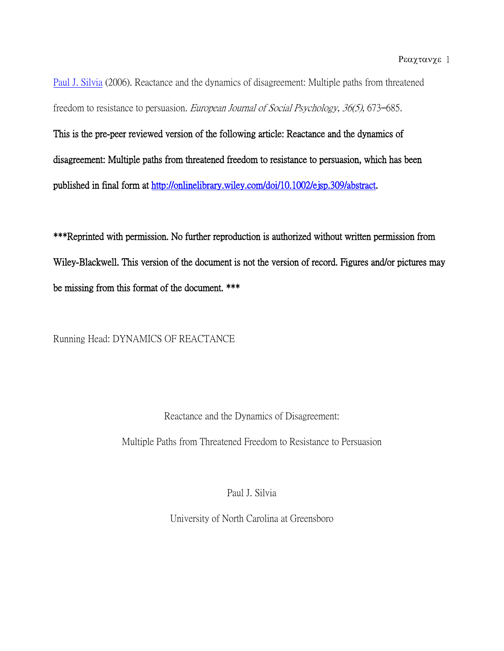[Paul J. Silvia](http://libres.uncg.edu/ir/uncg/clist.aspx?id=402) (2006). Reactance and the dynamics of disagreement: Multiple paths from threatened freedom to resistance to persuasion. European Journal of Social Psychology, 36(5), 673–685.

This is the pre-peer reviewed version of the following article: Reactance and the dynamics of disagreement: Multiple paths from threatened freedom to resistance to persuasion, which has been published in final form at [http://onlinelibrary.wiley.com/doi/10.1002/ejsp.309/abstract.](http://onlinelibrary.wiley.com/doi/10.1002/ejsp.309/abstract)

\*\*\*Reprinted with permission. No further reproduction is authorized without written permission from Wiley-Blackwell. This version of the document is not the version of record. Figures and/or pictures may be missing from this format of the document. \*\*\*

Running Head: DYNAMICS OF REACTANCE

Reactance and the Dynamics of Disagreement: Multiple Paths from Threatened Freedom to Resistance to Persuasion

Paul J. Silvia

University of North Carolina at Greensboro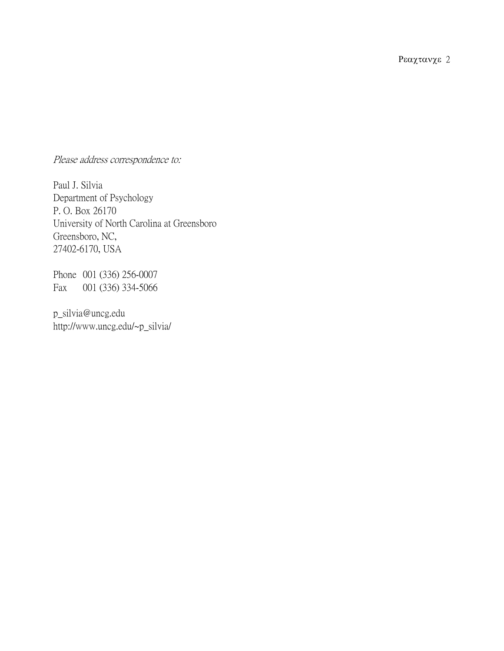Ρεαχτανχε 2

Please address correspondence to:

Paul J. Silvia Department of Psychology P. O. Box 26170 University of North Carolina at Greensboro Greensboro, NC, 27402-6170, USA

Phone 001 (336) 256-0007 Fax 001 (336) 334-5066

p\_silvia@uncg.edu http://www.uncg.edu/~p\_silvia/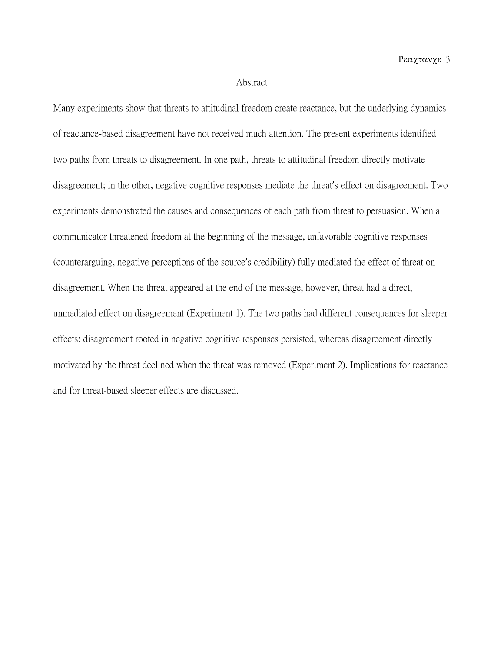#### Abstract

Many experiments show that threats to attitudinal freedom create reactance, but the underlying dynamics of reactance-based disagreement have not received much attention. The present experiments identified two paths from threats to disagreement. In one path, threats to attitudinal freedom directly motivate disagreement; in the other, negative cognitive responses mediate the threat's effect on disagreement. Two experiments demonstrated the causes and consequences of each path from threat to persuasion. When a communicator threatened freedom at the beginning of the message, unfavorable cognitive responses (counterarguing, negative perceptions of the source's credibility) fully mediated the effect of threat on disagreement. When the threat appeared at the end of the message, however, threat had a direct, unmediated effect on disagreement (Experiment 1). The two paths had different consequences for sleeper effects: disagreement rooted in negative cognitive responses persisted, whereas disagreement directly motivated by the threat declined when the threat was removed (Experiment 2). Implications for reactance and for threat-based sleeper effects are discussed.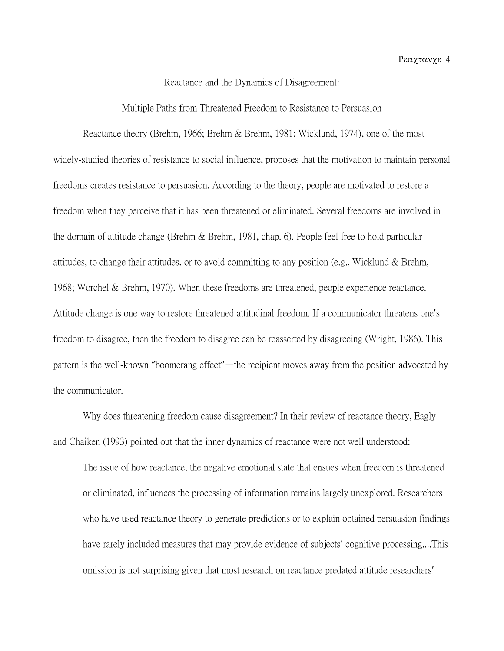#### Reactance and the Dynamics of Disagreement:

Multiple Paths from Threatened Freedom to Resistance to Persuasion

Reactance theory (Brehm, 1966; Brehm & Brehm, 1981; Wicklund, 1974), one of the most widely-studied theories of resistance to social influence, proposes that the motivation to maintain personal freedoms creates resistance to persuasion. According to the theory, people are motivated to restore a freedom when they perceive that it has been threatened or eliminated. Several freedoms are involved in the domain of attitude change (Brehm & Brehm, 1981, chap. 6). People feel free to hold particular attitudes, to change their attitudes, or to avoid committing to any position (e.g., Wicklund & Brehm, 1968; Worchel & Brehm, 1970). When these freedoms are threatened, people experience reactance. Attitude change is one way to restore threatened attitudinal freedom. If a communicator threatens one's freedom to disagree, then the freedom to disagree can be reasserted by disagreeing (Wright, 1986). This pattern is the well-known "boomerang effect"—the recipient moves away from the position advocated by the communicator.

Why does threatening freedom cause disagreement? In their review of reactance theory, Eagly and Chaiken (1993) pointed out that the inner dynamics of reactance were not well understood:

The issue of how reactance, the negative emotional state that ensues when freedom is threatened or eliminated, influences the processing of information remains largely unexplored. Researchers who have used reactance theory to generate predictions or to explain obtained persuasion findings have rarely included measures that may provide evidence of subjects' cognitive processing....This omission is not surprising given that most research on reactance predated attitude researchers'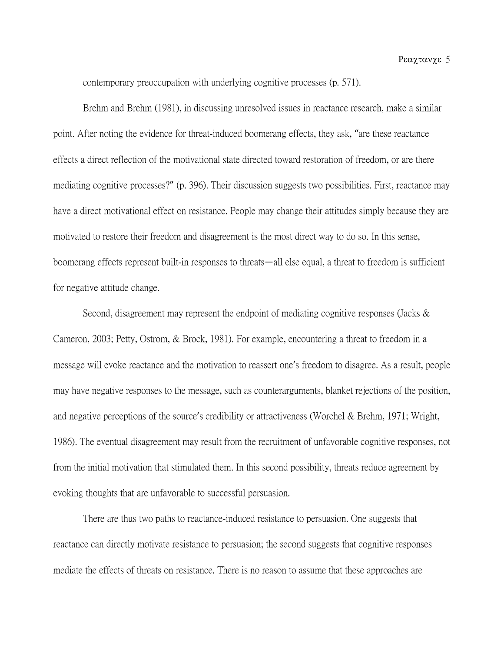contemporary preoccupation with underlying cognitive processes (p. 571).

Brehm and Brehm (1981), in discussing unresolved issues in reactance research, make a similar point. After noting the evidence for threat-induced boomerang effects, they ask, "are these reactance effects a direct reflection of the motivational state directed toward restoration of freedom, or are there mediating cognitive processes?" (p. 396). Their discussion suggests two possibilities. First, reactance may have a direct motivational effect on resistance. People may change their attitudes simply because they are motivated to restore their freedom and disagreement is the most direct way to do so. In this sense, boomerang effects represent built-in responses to threats—all else equal, a threat to freedom is sufficient for negative attitude change.

Second, disagreement may represent the endpoint of mediating cognitive responses (Jacks & Cameron, 2003; Petty, Ostrom, & Brock, 1981). For example, encountering a threat to freedom in a message will evoke reactance and the motivation to reassert one's freedom to disagree. As a result, people may have negative responses to the message, such as counterarguments, blanket rejections of the position, and negative perceptions of the source's credibility or attractiveness (Worchel & Brehm, 1971; Wright, 1986). The eventual disagreement may result from the recruitment of unfavorable cognitive responses, not from the initial motivation that stimulated them. In this second possibility, threats reduce agreement by evoking thoughts that are unfavorable to successful persuasion.

There are thus two paths to reactance-induced resistance to persuasion. One suggests that reactance can directly motivate resistance to persuasion; the second suggests that cognitive responses mediate the effects of threats on resistance. There is no reason to assume that these approaches are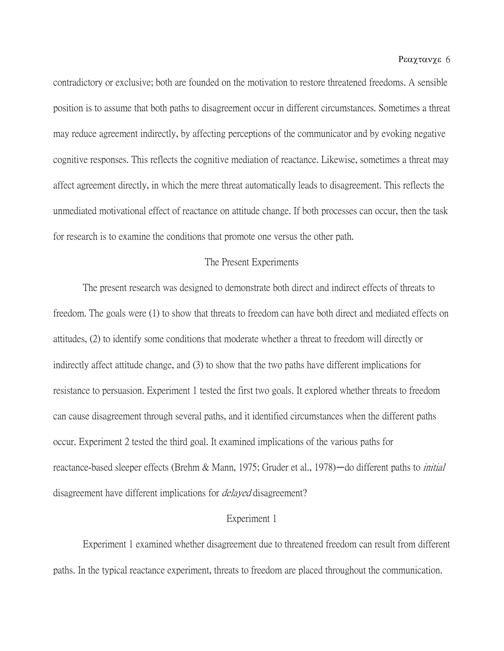contradictory or exclusive; both are founded on the motivation to restore threatened freedoms. A sensible position is to assume that both paths to disagreement occur in different circumstances. Sometimes a threat may reduce agreement indirectly, by affecting perceptions of the communicator and by evoking negative cognitive responses. This reflects the cognitive mediation of reactance. Likewise, sometimes a threat may affect agreement directly, in which the mere threat automatically leads to disagreement. This reflects the unmediated motivational effect of reactance on attitude change. If both processes can occur, then the task for research is to examine the conditions that promote one versus the other path.

## The Present Experiments

The present research was designed to demonstrate both direct and indirect effects of threats to freedom. The goals were (1) to show that threats to freedom can have both direct and mediated effects on attitudes, (2) to identify some conditions that moderate whether a threat to freedom will directly or indirectly affect attitude change, and (3) to show that the two paths have different implications for resistance to persuasion. Experiment 1 tested the first two goals. It explored whether threats to freedom can cause disagreement through several paths, and it identified circumstances when the different paths occur. Experiment 2 tested the third goal. It examined implications of the various paths for reactance-based sleeper effects (Brehm & Mann, 1975; Gruder et al., 1978)—do different paths to *initial* disagreement have different implications for *delayed* disagreement?

#### Experiment 1

Experiment 1 examined whether disagreement due to threatened freedom can result from different paths. In the typical reactance experiment, threats to freedom are placed throughout the communication.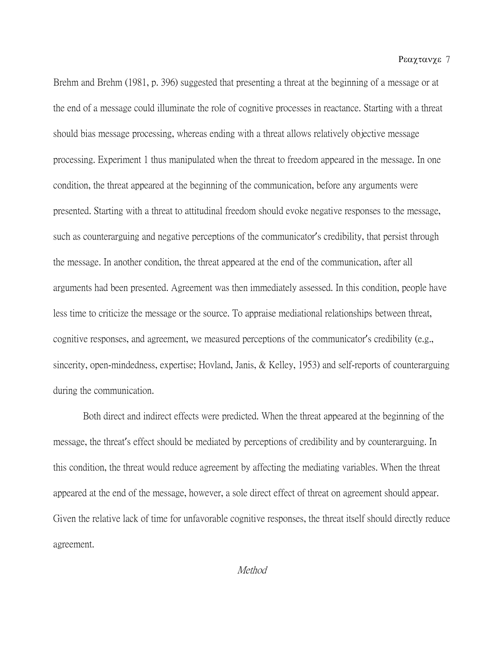Ρεαχτανχε 7

Brehm and Brehm (1981, p. 396) suggested that presenting a threat at the beginning of a message or at the end of a message could illuminate the role of cognitive processes in reactance. Starting with a threat should bias message processing, whereas ending with a threat allows relatively objective message processing. Experiment 1 thus manipulated when the threat to freedom appeared in the message. In one condition, the threat appeared at the beginning of the communication, before any arguments were presented. Starting with a threat to attitudinal freedom should evoke negative responses to the message, such as counterarguing and negative perceptions of the communicator's credibility, that persist through the message. In another condition, the threat appeared at the end of the communication, after all arguments had been presented. Agreement was then immediately assessed. In this condition, people have less time to criticize the message or the source. To appraise mediational relationships between threat, cognitive responses, and agreement, we measured perceptions of the communicator's credibility (e.g., sincerity, open-mindedness, expertise; Hovland, Janis, & Kelley, 1953) and self-reports of counterarguing during the communication.

Both direct and indirect effects were predicted. When the threat appeared at the beginning of the message, the threat's effect should be mediated by perceptions of credibility and by counterarguing. In this condition, the threat would reduce agreement by affecting the mediating variables. When the threat appeared at the end of the message, however, a sole direct effect of threat on agreement should appear. Given the relative lack of time for unfavorable cognitive responses, the threat itself should directly reduce agreement.

Method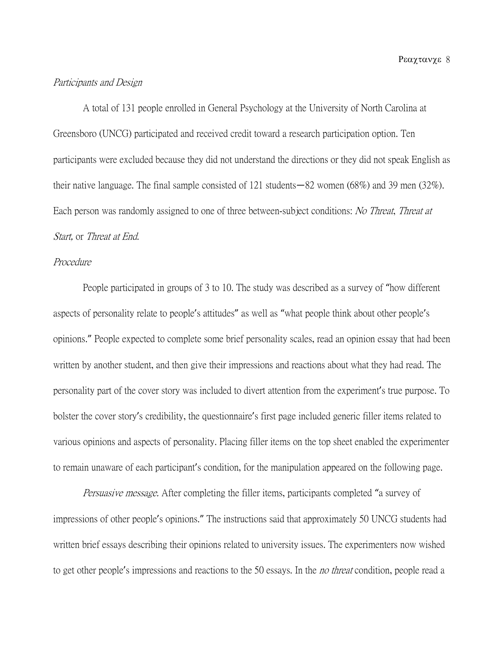#### Participants and Design

A total of 131 people enrolled in General Psychology at the University of North Carolina at Greensboro (UNCG) participated and received credit toward a research participation option. Ten participants were excluded because they did not understand the directions or they did not speak English as their native language. The final sample consisted of 121 students—82 women (68%) and 39 men (32%). Each person was randomly assigned to one of three between-subject conditions: *No Threat, Threat at* Start, or Threat at End.

## Procedure

People participated in groups of 3 to 10. The study was described as a survey of "how different aspects of personality relate to people's attitudes" as well as "what people think about other people's opinions." People expected to complete some brief personality scales, read an opinion essay that had been written by another student, and then give their impressions and reactions about what they had read. The personality part of the cover story was included to divert attention from the experiment's true purpose. To bolster the cover story's credibility, the questionnaire's first page included generic filler items related to various opinions and aspects of personality. Placing filler items on the top sheet enabled the experimenter to remain unaware of each participant's condition, for the manipulation appeared on the following page.

Persuasive message. After completing the filler items, participants completed "a survey of impressions of other people's opinions." The instructions said that approximately 50 UNCG students had written brief essays describing their opinions related to university issues. The experimenters now wished to get other people's impressions and reactions to the 50 essays. In the *no threat* condition, people read a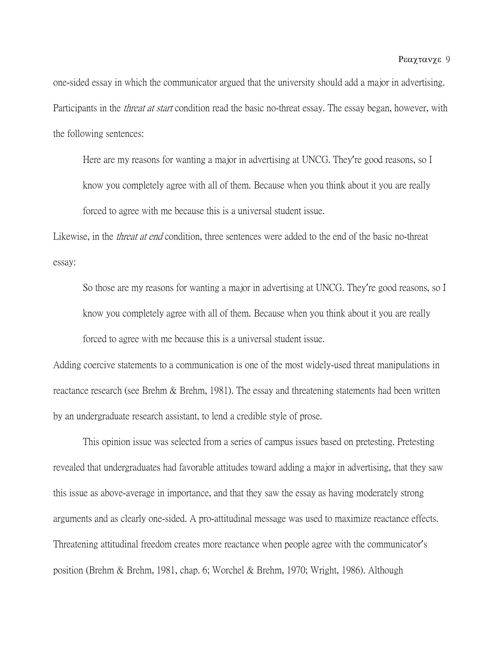one-sided essay in which the communicator argued that the university should add a major in advertising. Participants in the *threat at start* condition read the basic no-threat essay. The essay began, however, with the following sentences:

Here are my reasons for wanting a major in advertising at UNCG. They're good reasons, so I know you completely agree with all of them. Because when you think about it you are really forced to agree with me because this is a universal student issue.

Likewise, in the *threat at end* condition, three sentences were added to the end of the basic no-threat essay:

So those are my reasons for wanting a major in advertising at UNCG. They're good reasons, so I know you completely agree with all of them. Because when you think about it you are really forced to agree with me because this is a universal student issue.

Adding coercive statements to a communication is one of the most widely-used threat manipulations in reactance research (see Brehm & Brehm, 1981). The essay and threatening statements had been written by an undergraduate research assistant, to lend a credible style of prose.

This opinion issue was selected from a series of campus issues based on pretesting. Pretesting revealed that undergraduates had favorable attitudes toward adding a major in advertising, that they saw this issue as above-average in importance, and that they saw the essay as having moderately strong arguments and as clearly one-sided. A pro-attitudinal message was used to maximize reactance effects. Threatening attitudinal freedom creates more reactance when people agree with the communicator's position (Brehm & Brehm, 1981, chap. 6; Worchel & Brehm, 1970; Wright, 1986). Although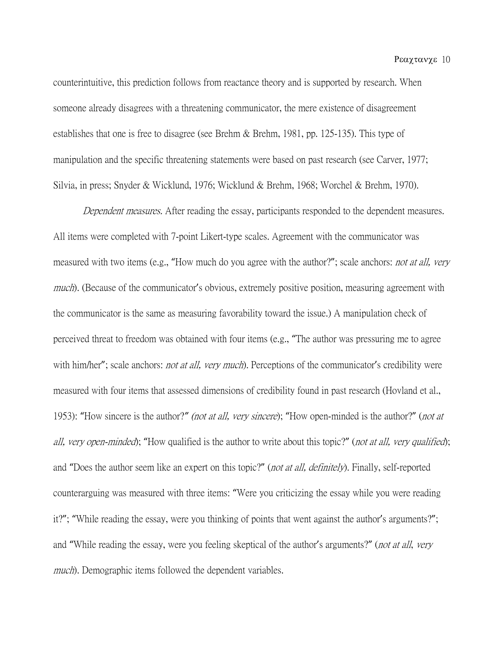counterintuitive, this prediction follows from reactance theory and is supported by research. When someone already disagrees with a threatening communicator, the mere existence of disagreement establishes that one is free to disagree (see Brehm & Brehm, 1981, pp. 125-135). This type of manipulation and the specific threatening statements were based on past research (see Carver, 1977; Silvia, in press; Snyder & Wicklund, 1976; Wicklund & Brehm, 1968; Worchel & Brehm, 1970).

Dependent measures. After reading the essay, participants responded to the dependent measures. All items were completed with 7-point Likert-type scales. Agreement with the communicator was measured with two items (e.g., "How much do you agree with the author?"; scale anchors: not at all, very much). (Because of the communicator's obvious, extremely positive position, measuring agreement with the communicator is the same as measuring favorability toward the issue.) A manipulation check of perceived threat to freedom was obtained with four items (e.g., "The author was pressuring me to agree with him/her"; scale anchors: not at all, very much). Perceptions of the communicator's credibility were measured with four items that assessed dimensions of credibility found in past research (Hovland et al., 1953): "How sincere is the author?*"* (not at all, very sincere); "How open-minded is the author?" (not at all, very open-minded); "How qualified is the author to write about this topic?" (not at all, very qualified); and "Does the author seem like an expert on this topic?" (not at all, definitely). Finally, self-reported counterarguing was measured with three items: "Were you criticizing the essay while you were reading it?"; "While reading the essay, were you thinking of points that went against the author's arguments?"; and "While reading the essay, were you feeling skeptical of the author's arguments?" (*not at all, very* much). Demographic items followed the dependent variables.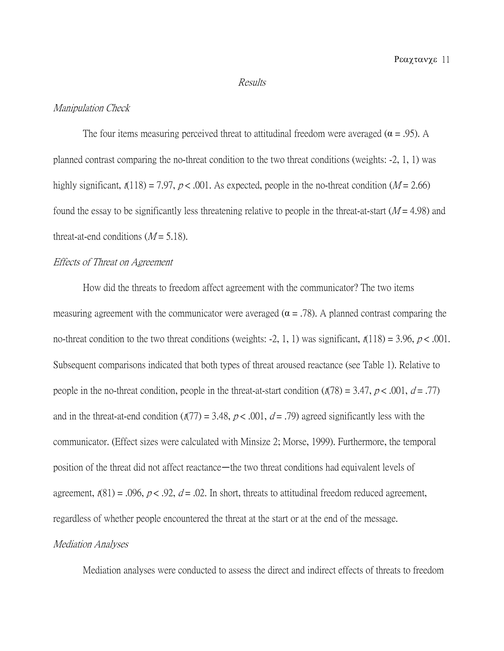#### Results

## Manipulation Check

The four items measuring perceived threat to attitudinal freedom were averaged ( $\alpha$  = .95). A planned contrast comparing the no-threat condition to the two threat conditions (weights: -2, 1, 1) was highly significant,  $\ell(118) = 7.97$ ,  $p < .001$ . As expected, people in the no-threat condition ( $M = 2.66$ ) found the essay to be significantly less threatening relative to people in the threat-at-start  $(M = 4.98)$  and threat-at-end conditions  $(M = 5.18)$ .

## Effects of Threat on Agreement

How did the threats to freedom affect agreement with the communicator? The two items measuring agreement with the communicator were averaged ( $\alpha$  = .78). A planned contrast comparing the no-threat condition to the two threat conditions (weights: -2, 1, 1) was significant,  $n(118) = 3.96, p < .001$ . Subsequent comparisons indicated that both types of threat aroused reactance (see Table 1). Relative to people in the no-threat condition, people in the threat-at-start condition  $((178) = 3.47, p < .001, d = .77)$ and in the threat-at-end condition  $(t(77) = 3.48, p < .001, d = .79)$  agreed significantly less with the communicator. (Effect sizes were calculated with Minsize 2; Morse, 1999). Furthermore, the temporal position of the threat did not affect reactance—the two threat conditions had equivalent levels of agreement,  $t(81) = .096$ ,  $p < .92$ ,  $d = .02$ . In short, threats to attitudinal freedom reduced agreement, regardless of whether people encountered the threat at the start or at the end of the message.

## Mediation Analyses

Mediation analyses were conducted to assess the direct and indirect effects of threats to freedom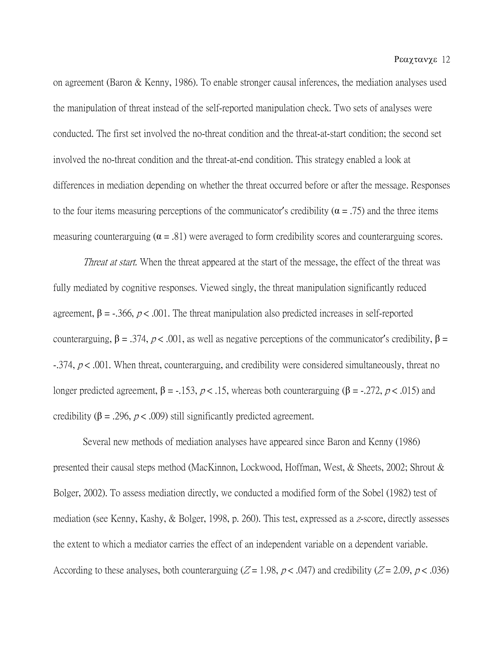on agreement (Baron & Kenny, 1986). To enable stronger causal inferences, the mediation analyses used the manipulation of threat instead of the self-reported manipulation check. Two sets of analyses were conducted. The first set involved the no-threat condition and the threat-at-start condition; the second set involved the no-threat condition and the threat-at-end condition. This strategy enabled a look at differences in mediation depending on whether the threat occurred before or after the message. Responses to the four items measuring perceptions of the communicator's credibility ( $\alpha = .75$ ) and the three items measuring counterarguing ( $\alpha = .81$ ) were averaged to form credibility scores and counterarguing scores.

Threat at start. When the threat appeared at the start of the message, the effect of the threat was fully mediated by cognitive responses. Viewed singly, the threat manipulation significantly reduced agreement,  $\beta = -0.366$ ,  $p < 0.001$ . The threat manipulation also predicted increases in self-reported counterarguing,  $β = 0.374$ ,  $p < 0.001$ , as well as negative perceptions of the communicator's credibility,  $β =$  $-374$ ,  $p < .001$ . When threat, counterarguing, and credibility were considered simultaneously, threat no longer predicted agreement,  $β = -.153$ ,  $p < .15$ , whereas both counterarguing ( $β = -.272$ ,  $p < .015$ ) and credibility (β = .296,  $p < .009$ ) still significantly predicted agreement.

Several new methods of mediation analyses have appeared since Baron and Kenny (1986) presented their causal steps method (MacKinnon, Lockwood, Hoffman, West, & Sheets, 2002; Shrout & Bolger, 2002). To assess mediation directly, we conducted a modified form of the Sobel (1982) test of mediation (see Kenny, Kashy, & Bolger, 1998, p. 260). This test, expressed as a z-score, directly assesses the extent to which a mediator carries the effect of an independent variable on a dependent variable. According to these analyses, both counterarguing ( $Z = 1.98$ ,  $p < .047$ ) and credibility ( $Z = 2.09$ ,  $p < .036$ )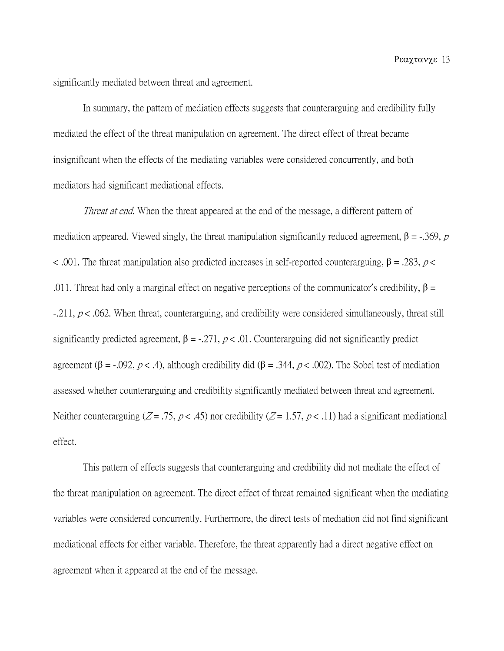significantly mediated between threat and agreement.

In summary, the pattern of mediation effects suggests that counterarguing and credibility fully mediated the effect of the threat manipulation on agreement. The direct effect of threat became insignificant when the effects of the mediating variables were considered concurrently, and both mediators had significant mediational effects.

Threat at end. When the threat appeared at the end of the message, a different pattern of mediation appeared. Viewed singly, the threat manipulation significantly reduced agreement,  $β = -0.369$ ,  $p =$ < .001. The threat manipulation also predicted increases in self-reported counterarguing,  $β = .283$ ,  $p <$ .011. Threat had only a marginal effect on negative perceptions of the communicator's credibility,  $\beta$  =  $-211, p < .062$ . When threat, counterarguing, and credibility were considered simultaneously, threat still significantly predicted agreement,  $\beta = -0.271$ ,  $p < 0.01$ . Counterarguing did not significantly predict agreement (β = -.092, *p* < .4), although credibility did (β = .344, *p* < .002). The Sobel test of mediation assessed whether counterarguing and credibility significantly mediated between threat and agreement. Neither counterarguing ( $Z = .75$ ,  $p < .45$ ) nor credibility ( $Z = 1.57$ ,  $p < .11$ ) had a significant mediational effect.

This pattern of effects suggests that counterarguing and credibility did not mediate the effect of the threat manipulation on agreement. The direct effect of threat remained significant when the mediating variables were considered concurrently. Furthermore, the direct tests of mediation did not find significant mediational effects for either variable. Therefore, the threat apparently had a direct negative effect on agreement when it appeared at the end of the message.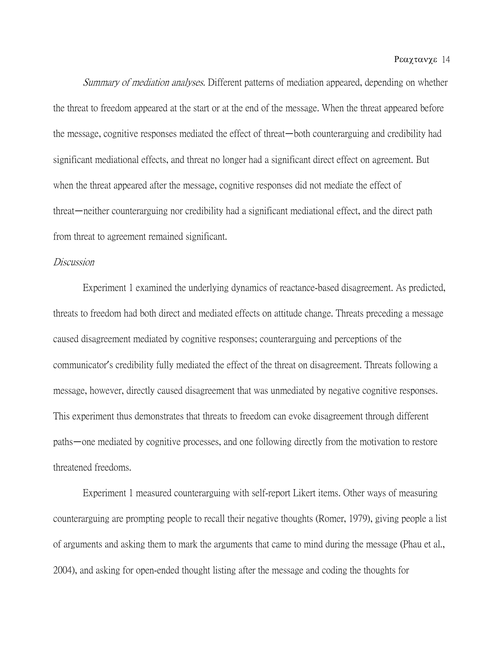Summary of mediation analyses. Different patterns of mediation appeared, depending on whether the threat to freedom appeared at the start or at the end of the message. When the threat appeared before the message, cognitive responses mediated the effect of threat—both counterarguing and credibility had significant mediational effects, and threat no longer had a significant direct effect on agreement. But when the threat appeared after the message, cognitive responses did not mediate the effect of threat—neither counterarguing nor credibility had a significant mediational effect, and the direct path from threat to agreement remained significant.

## Discussion

Experiment 1 examined the underlying dynamics of reactance-based disagreement. As predicted, threats to freedom had both direct and mediated effects on attitude change. Threats preceding a message caused disagreement mediated by cognitive responses; counterarguing and perceptions of the communicator's credibility fully mediated the effect of the threat on disagreement. Threats following a message, however, directly caused disagreement that was unmediated by negative cognitive responses. This experiment thus demonstrates that threats to freedom can evoke disagreement through different paths—one mediated by cognitive processes, and one following directly from the motivation to restore threatened freedoms.

Experiment 1 measured counterarguing with self-report Likert items. Other ways of measuring counterarguing are prompting people to recall their negative thoughts (Romer, 1979), giving people a list of arguments and asking them to mark the arguments that came to mind during the message (Phau et al., 2004), and asking for open-ended thought listing after the message and coding the thoughts for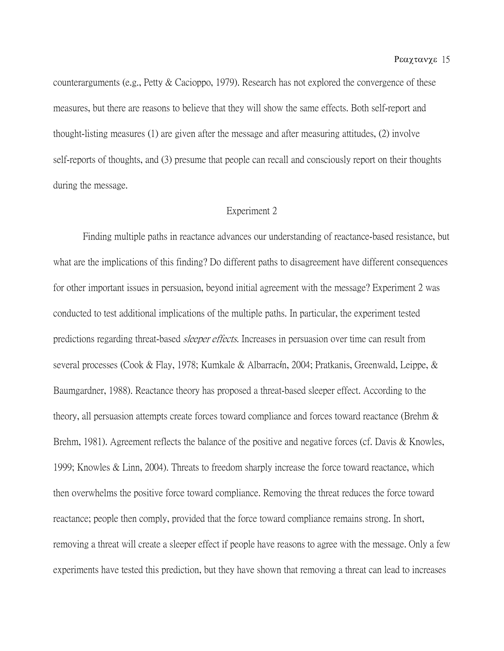counterarguments (e.g., Petty & Cacioppo, 1979). Research has not explored the convergence of these measures, but there are reasons to believe that they will show the same effects. Both self-report and thought-listing measures (1) are given after the message and after measuring attitudes, (2) involve self-reports of thoughts, and (3) presume that people can recall and consciously report on their thoughts during the message.

## Experiment 2

Finding multiple paths in reactance advances our understanding of reactance-based resistance, but what are the implications of this finding? Do different paths to disagreement have different consequences for other important issues in persuasion, beyond initial agreement with the message? Experiment 2 was conducted to test additional implications of the multiple paths. In particular, the experiment tested predictions regarding threat-based *sleeper effects*. Increases in persuasion over time can result from several processes (Cook & Flay, 1978; Kumkale & Albarracín, 2004; Pratkanis, Greenwald, Leippe, & Baumgardner, 1988). Reactance theory has proposed a threat-based sleeper effect. According to the theory, all persuasion attempts create forces toward compliance and forces toward reactance (Brehm & Brehm, 1981). Agreement reflects the balance of the positive and negative forces (cf. Davis & Knowles, 1999; Knowles & Linn, 2004). Threats to freedom sharply increase the force toward reactance, which then overwhelms the positive force toward compliance. Removing the threat reduces the force toward reactance; people then comply, provided that the force toward compliance remains strong. In short, removing a threat will create a sleeper effect if people have reasons to agree with the message. Only a few experiments have tested this prediction, but they have shown that removing a threat can lead to increases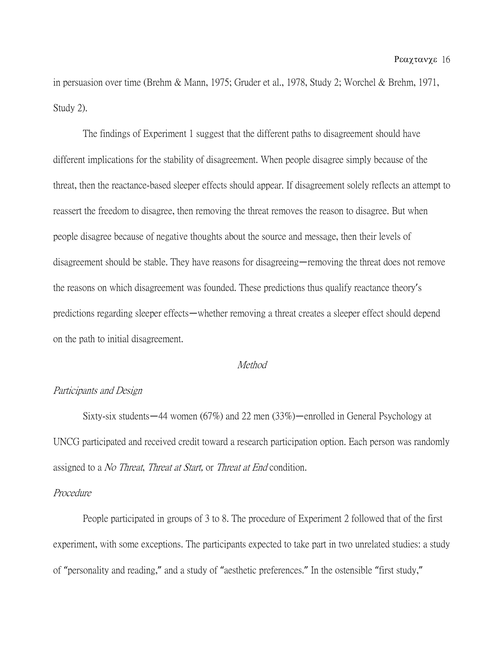in persuasion over time (Brehm & Mann, 1975; Gruder et al., 1978, Study 2; Worchel & Brehm, 1971, Study 2).

The findings of Experiment 1 suggest that the different paths to disagreement should have different implications for the stability of disagreement. When people disagree simply because of the threat, then the reactance-based sleeper effects should appear. If disagreement solely reflects an attempt to reassert the freedom to disagree, then removing the threat removes the reason to disagree. But when people disagree because of negative thoughts about the source and message, then their levels of disagreement should be stable. They have reasons for disagreeing—removing the threat does not remove the reasons on which disagreement was founded. These predictions thus qualify reactance theory's predictions regarding sleeper effects—whether removing a threat creates a sleeper effect should depend on the path to initial disagreement.

#### **Method**

### Participants and Design

Sixty-six students—44 women (67%) and 22 men (33%)—enrolled in General Psychology at UNCG participated and received credit toward a research participation option. Each person was randomly assigned to a *No Threat, Threat at Start*, or *Threat at End* condition.

## Procedure

People participated in groups of 3 to 8. The procedure of Experiment 2 followed that of the first experiment, with some exceptions. The participants expected to take part in two unrelated studies: a study of "personality and reading," and a study of "aesthetic preferences." In the ostensible "first study,"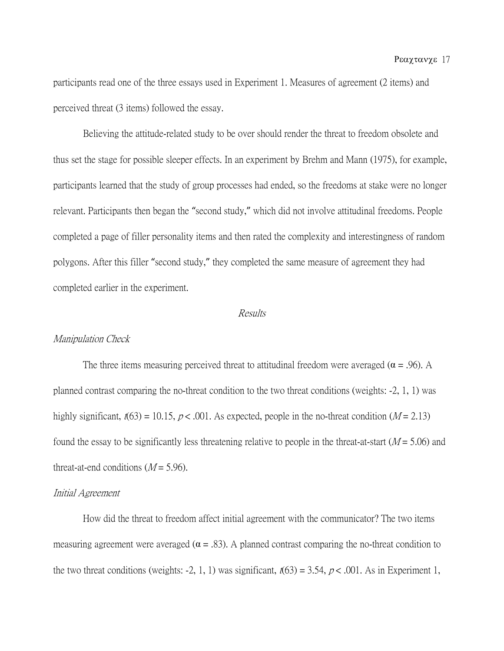participants read one of the three essays used in Experiment 1. Measures of agreement (2 items) and perceived threat (3 items) followed the essay.

Believing the attitude-related study to be over should render the threat to freedom obsolete and thus set the stage for possible sleeper effects. In an experiment by Brehm and Mann (1975), for example, participants learned that the study of group processes had ended, so the freedoms at stake were no longer relevant. Participants then began the "second study," which did not involve attitudinal freedoms. People completed a page of filler personality items and then rated the complexity and interestingness of random polygons. After this filler "second study," they completed the same measure of agreement they had completed earlier in the experiment.

## Results

#### Manipulation Check

The three items measuring perceived threat to attitudinal freedom were averaged ( $\alpha$  = .96). A planned contrast comparing the no-threat condition to the two threat conditions (weights: -2, 1, 1) was highly significant,  $t(63) = 10.15$ ,  $p < .001$ . As expected, people in the no-threat condition ( $M = 2.13$ ) found the essay to be significantly less threatening relative to people in the threat-at-start ( $M = 5.06$ ) and threat-at-end conditions  $(M = 5.96)$ .

#### Initial Agreement

How did the threat to freedom affect initial agreement with the communicator? The two items measuring agreement were averaged ( $\alpha$  = .83). A planned contrast comparing the no-threat condition to the two threat conditions (weights: -2, 1, 1) was significant,  $t(63) = 3.54$ ,  $p < .001$ . As in Experiment 1,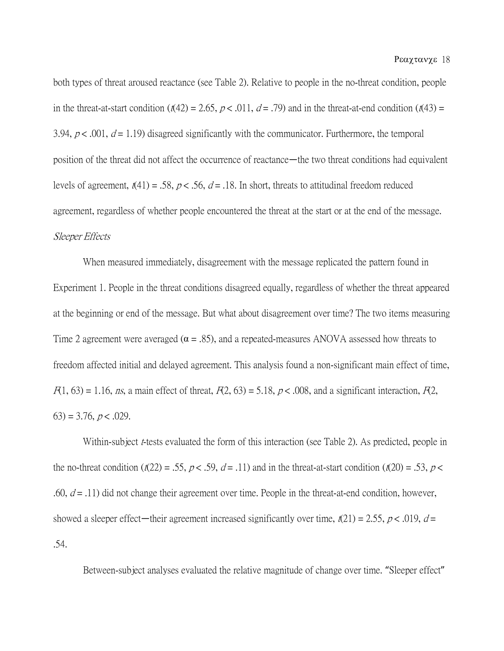both types of threat aroused reactance (see Table 2). Relative to people in the no-threat condition, people in the threat-at-start condition ( $t(42) = 2.65$ ,  $p < .011$ ,  $d = .79$ ) and in the threat-at-end condition ( $t(43) =$ 3.94,  $p < .001$ ,  $d = 1.19$ ) disagreed significantly with the communicator. Furthermore, the temporal position of the threat did not affect the occurrence of reactance—the two threat conditions had equivalent levels of agreement,  $t(41) = .58$ ,  $p < .56$ ,  $d = .18$ . In short, threats to attitudinal freedom reduced agreement, regardless of whether people encountered the threat at the start or at the end of the message. Sleeper Effects

When measured immediately, disagreement with the message replicated the pattern found in Experiment 1. People in the threat conditions disagreed equally, regardless of whether the threat appeared at the beginning or end of the message. But what about disagreement over time? The two items measuring Time 2 agreement were averaged ( $\alpha = .85$ ), and a repeated-measures ANOVA assessed how threats to freedom affected initial and delayed agreement. This analysis found a non-significant main effect of time,  $F(1, 63) = 1.16$ , ns, a main effect of threat,  $F(2, 63) = 5.18$ ,  $p < .008$ , and a significant interaction,  $F(2, 63) = 1.16$  $(63) = 3.76, p < .029.$ 

Within-subject *t*-tests evaluated the form of this interaction (see Table 2). As predicted, people in the no-threat condition ( $t(22) = .55$ ,  $p < .59$ ,  $d = .11$ ) and in the threat-at-start condition ( $t(20) = .53$ ,  $p <$ .60,  $d = .11$ ) did not change their agreement over time. People in the threat-at-end condition, however, showed a sleeper effect—their agreement increased significantly over time,  $t(21) = 2.55$ ,  $p < .019$ ,  $d =$ .54.

Between-subject analyses evaluated the relative magnitude of change over time. "Sleeper effect"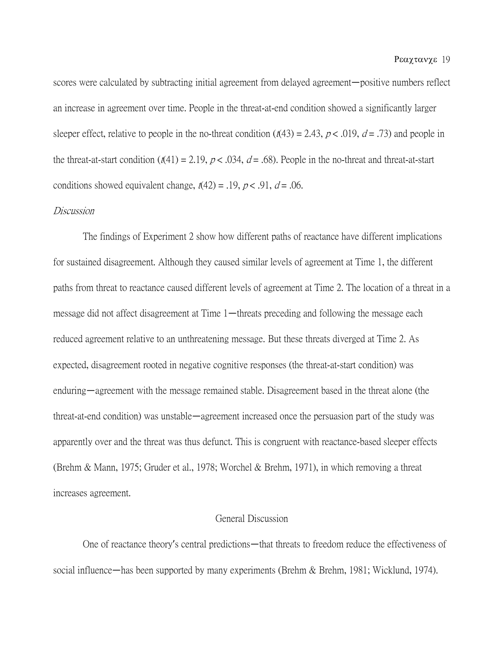scores were calculated by subtracting initial agreement from delayed agreement—positive numbers reflect an increase in agreement over time. People in the threat-at-end condition showed a significantly larger sleeper effect, relative to people in the no-threat condition  $((143) = 2.43, p < .019, d = .73)$  and people in the threat-at-start condition  $((41) = 2.19, p < .034, d = .68)$ . People in the no-threat and threat-at-start conditions showed equivalent change,  $t(42) = .19$ ,  $p < .91$ ,  $d = .06$ .

#### Discussion

The findings of Experiment 2 show how different paths of reactance have different implications for sustained disagreement. Although they caused similar levels of agreement at Time 1, the different paths from threat to reactance caused different levels of agreement at Time 2. The location of a threat in a message did not affect disagreement at Time 1—threats preceding and following the message each reduced agreement relative to an unthreatening message. But these threats diverged at Time 2. As expected, disagreement rooted in negative cognitive responses (the threat-at-start condition) was enduring—agreement with the message remained stable. Disagreement based in the threat alone (the threat-at-end condition) was unstable—agreement increased once the persuasion part of the study was apparently over and the threat was thus defunct. This is congruent with reactance-based sleeper effects (Brehm & Mann, 1975; Gruder et al., 1978; Worchel & Brehm, 1971), in which removing a threat increases agreement.

## General Discussion

One of reactance theory's central predictions—that threats to freedom reduce the effectiveness of social influence—has been supported by many experiments (Brehm & Brehm, 1981; Wicklund, 1974).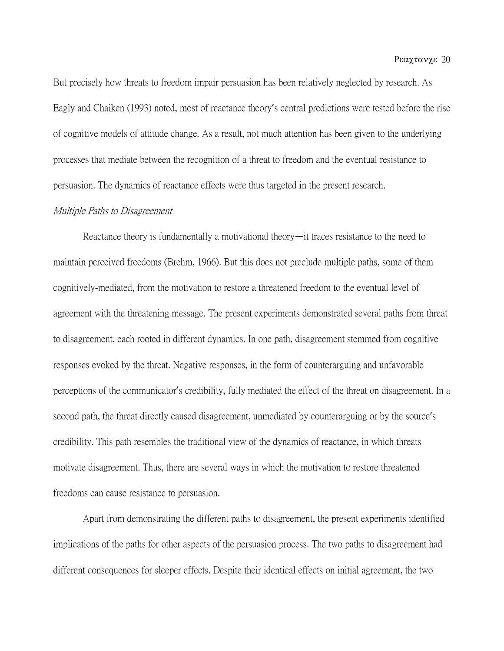But precisely how threats to freedom impair persuasion has been relatively neglected by research. As Eagly and Chaiken (1993) noted, most of reactance theory's central predictions were tested before the rise of cognitive models of attitude change. As a result, not much attention has been given to the underlying processes that mediate between the recognition of a threat to freedom and the eventual resistance to persuasion. The dynamics of reactance effects were thus targeted in the present research.

#### Multiple Paths to Disagreement

Reactance theory is fundamentally a motivational theory—it traces resistance to the need to maintain perceived freedoms (Brehm, 1966). But this does not preclude multiple paths, some of them cognitively-mediated, from the motivation to restore a threatened freedom to the eventual level of agreement with the threatening message. The present experiments demonstrated several paths from threat to disagreement, each rooted in different dynamics. In one path, disagreement stemmed from cognitive responses evoked by the threat. Negative responses, in the form of counterarguing and unfavorable perceptions of the communicator's credibility, fully mediated the effect of the threat on disagreement. In a second path, the threat directly caused disagreement, unmediated by counterarguing or by the source's credibility. This path resembles the traditional view of the dynamics of reactance, in which threats motivate disagreement. Thus, there are several ways in which the motivation to restore threatened freedoms can cause resistance to persuasion.

Apart from demonstrating the different paths to disagreement, the present experiments identified implications of the paths for other aspects of the persuasion process. The two paths to disagreement had different consequences for sleeper effects. Despite their identical effects on initial agreement, the two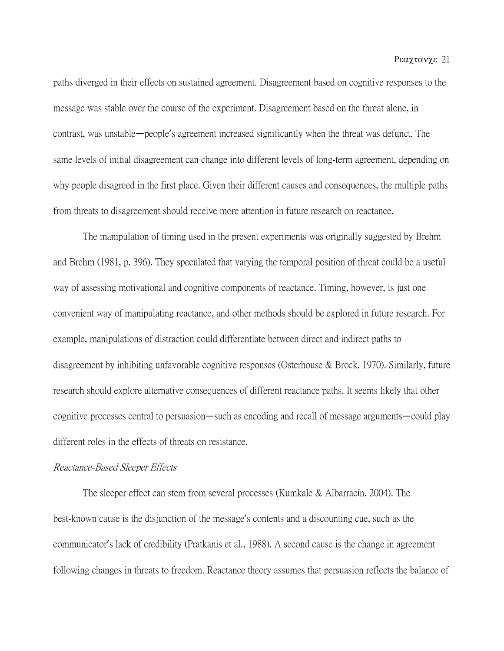paths diverged in their effects on sustained agreement. Disagreement based on cognitive responses to the message was stable over the course of the experiment. Disagreement based on the threat alone, in contrast, was unstable—people's agreement increased significantly when the threat was defunct. The same levels of initial disagreement can change into different levels of long-term agreement, depending on why people disagreed in the first place. Given their different causes and consequences, the multiple paths from threats to disagreement should receive more attention in future research on reactance.

The manipulation of timing used in the present experiments was originally suggested by Brehm and Brehm (1981, p. 396). They speculated that varying the temporal position of threat could be a useful way of assessing motivational and cognitive components of reactance. Timing, however, is just one convenient way of manipulating reactance, and other methods should be explored in future research. For example, manipulations of distraction could differentiate between direct and indirect paths to disagreement by inhibiting unfavorable cognitive responses (Osterhouse & Brock, 1970). Similarly, future research should explore alternative consequences of different reactance paths. It seems likely that other cognitive processes central to persuasion—such as encoding and recall of message arguments—could play different roles in the effects of threats on resistance.

## Reactance-Based Sleeper Effects

The sleeper effect can stem from several processes (Kumkale & Albarracín, 2004). The best-known cause is the disjunction of the message's contents and a discounting cue, such as the communicator's lack of credibility (Pratkanis et al., 1988). A second cause is the change in agreement following changes in threats to freedom. Reactance theory assumes that persuasion reflects the balance of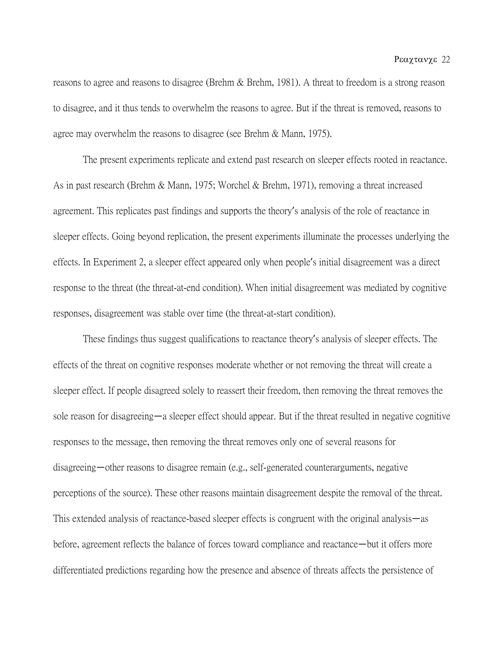reasons to agree and reasons to disagree (Brehm & Brehm, 1981). A threat to freedom is a strong reason to disagree, and it thus tends to overwhelm the reasons to agree. But if the threat is removed, reasons to agree may overwhelm the reasons to disagree (see Brehm & Mann, 1975).

The present experiments replicate and extend past research on sleeper effects rooted in reactance. As in past research (Brehm & Mann, 1975; Worchel & Brehm, 1971), removing a threat increased agreement. This replicates past findings and supports the theory's analysis of the role of reactance in sleeper effects. Going beyond replication, the present experiments illuminate the processes underlying the effects. In Experiment 2, a sleeper effect appeared only when people's initial disagreement was a direct response to the threat (the threat-at-end condition). When initial disagreement was mediated by cognitive responses, disagreement was stable over time (the threat-at-start condition).

These findings thus suggest qualifications to reactance theory's analysis of sleeper effects. The effects of the threat on cognitive responses moderate whether or not removing the threat will create a sleeper effect. If people disagreed solely to reassert their freedom, then removing the threat removes the sole reason for disagreeing—a sleeper effect should appear. But if the threat resulted in negative cognitive responses to the message, then removing the threat removes only one of several reasons for disagreeing—other reasons to disagree remain (e.g., self-generated counterarguments, negative perceptions of the source). These other reasons maintain disagreement despite the removal of the threat. This extended analysis of reactance-based sleeper effects is congruent with the original analysis—as before, agreement reflects the balance of forces toward compliance and reactance—but it offers more differentiated predictions regarding how the presence and absence of threats affects the persistence of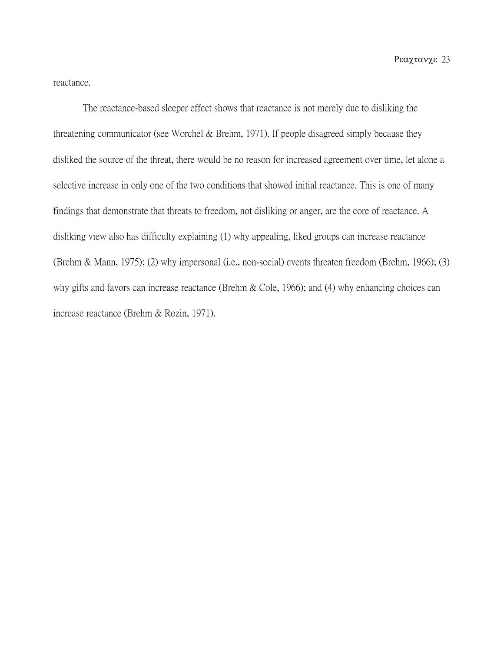reactance.

The reactance-based sleeper effect shows that reactance is not merely due to disliking the threatening communicator (see Worchel & Brehm, 1971). If people disagreed simply because they disliked the source of the threat, there would be no reason for increased agreement over time, let alone a selective increase in only one of the two conditions that showed initial reactance. This is one of many findings that demonstrate that threats to freedom, not disliking or anger, are the core of reactance. A disliking view also has difficulty explaining (1) why appealing, liked groups can increase reactance (Brehm & Mann, 1975); (2) why impersonal (i.e., non-social) events threaten freedom (Brehm, 1966); (3) why gifts and favors can increase reactance (Brehm & Cole, 1966); and (4) why enhancing choices can increase reactance (Brehm & Rozin, 1971).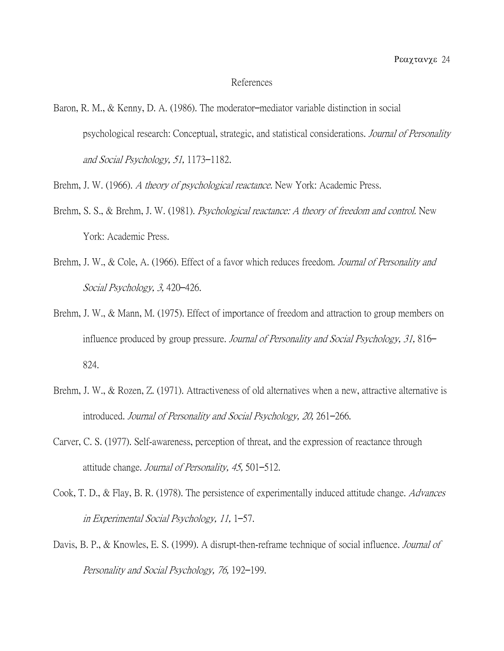#### References

Baron, R. M., & Kenny, D. A. (1986). The moderator–mediator variable distinction in social psychological research: Conceptual, strategic, and statistical considerations. Journal of Personality and Social Psychology, 51, 1173–1182.

Brehm, J. W. (1966). A theory of psychological reactance. New York: Academic Press.

- Brehm, S. S., & Brehm, J. W. (1981). *Psychological reactance: A theory of freedom and control.* New York: Academic Press.
- Brehm, J. W., & Cole, A. (1966). Effect of a favor which reduces freedom. Journal of Personality and Social Psychology, 3, 420–426.
- Brehm, J. W., & Mann, M. (1975). Effect of importance of freedom and attraction to group members on influence produced by group pressure. Journal of Personality and Social Psychology, 31, 816– 824.
- Brehm, J. W., & Rozen, Z. (1971). Attractiveness of old alternatives when a new, attractive alternative is introduced. Journal of Personality and Social Psychology, 20, 261–266.
- Carver, C. S. (1977). Self-awareness, perception of threat, and the expression of reactance through attitude change. Journal of Personality, 45, 501–512.
- Cook, T. D., & Flay, B. R. (1978). The persistence of experimentally induced attitude change. *Advances* in Experimental Social Psychology, 11, 1–57.
- Davis, B. P., & Knowles, E. S. (1999). A disrupt-then-reframe technique of social influence. *Journal of* Personality and Social Psychology, 76, 192–199.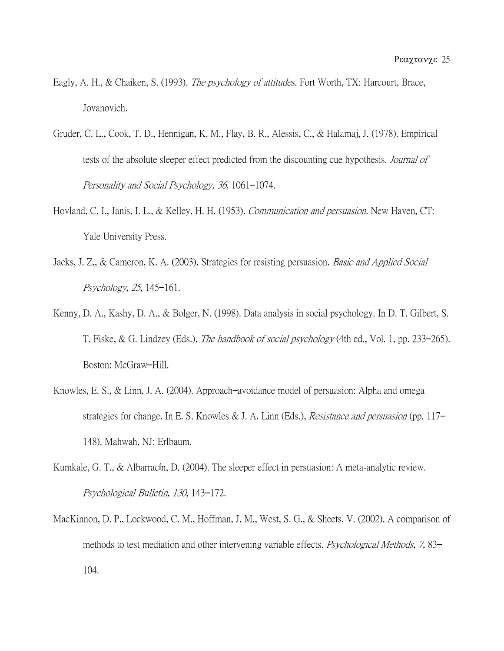- Eagly, A. H., & Chaiken, S. (1993). *The psychology of attitudes*. Fort Worth, TX: Harcourt, Brace, Jovanovich.
- Gruder, C. L., Cook, T. D., Hennigan, K. M., Flay, B. R., Alessis, C., & Halamaj, J. (1978). Empirical tests of the absolute sleeper effect predicted from the discounting cue hypothesis. *Journal of* Personality and Social Psychology, 36, 1061–1074.
- Hovland, C. I., Janis, I. L., & Kelley, H. H. (1953). *Communication and persuasion*. New Haven, CT: Yale University Press.
- Jacks, J. Z., & Cameron, K. A. (2003). Strategies for resisting persuasion. Basic and Applied Social Psychology, 25, 145–161.
- Kenny, D. A., Kashy, D. A., & Bolger, N. (1998). Data analysis in social psychology. In D. T. Gilbert, S. T. Fiske, & G. Lindzey (Eds.), The handbook of social psychology (4th ed., Vol. 1, pp. 233–265). Boston: McGraw–Hill.
- Knowles, E. S., & Linn, J. A. (2004). Approach–avoidance model of persuasion: Alpha and omega strategies for change. In E. S. Knowles & J. A. Linn (Eds.), *Resistance and persuasion* (pp. 117– 148). Mahwah, NJ: Erlbaum.
- Kumkale, G. T., & Albarracín, D. (2004). The sleeper effect in persuasion: A meta-analytic review. Psychological Bulletin, 130, 143–172.
- MacKinnon, D. P., Lockwood, C. M., Hoffman, J. M., West, S. G., & Sheets, V. (2002). A comparison of methods to test mediation and other intervening variable effects. *Psychological Methods*, 7, 83– 104.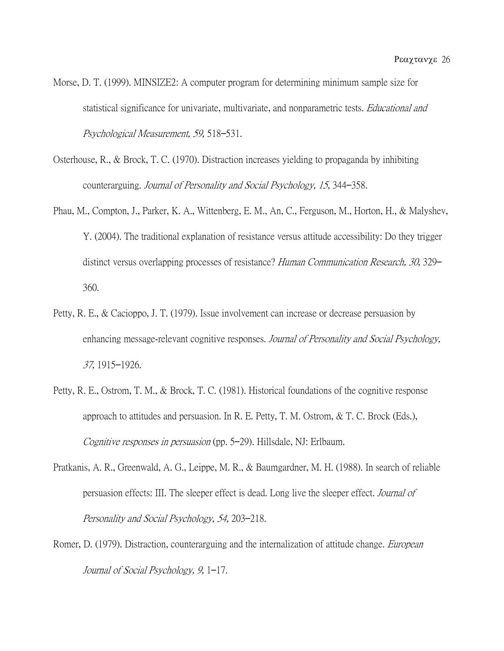- Morse, D. T. (1999). MINSIZE2: A computer program for determining minimum sample size for statistical significance for univariate, multivariate, and nonparametric tests. *Educational and* Psychological Measurement, 59, 518–531.
- Osterhouse, R., & Brock, T. C. (1970). Distraction increases yielding to propaganda by inhibiting counterarguing. Journal of Personality and Social Psychology, 15, 344–358.
- Phau, M., Compton, J., Parker, K. A., Wittenberg, E. M., An, C., Ferguson, M., Horton, H., & Malyshev, Y. (2004). The traditional explanation of resistance versus attitude accessibility: Do they trigger distinct versus overlapping processes of resistance? Human Communication Research, 30, 329– 360.
- Petty, R. E., & Cacioppo, J. T. (1979). Issue involvement can increase or decrease persuasion by enhancing message-relevant cognitive responses. Journal of Personality and Social Psychology, 37, 1915–1926.
- Petty, R. E., Ostrom, T. M., & Brock, T. C. (1981). Historical foundations of the cognitive response approach to attitudes and persuasion. In R. E. Petty, T. M. Ostrom, & T. C. Brock (Eds.), Cognitive responses in persuasion (pp. 5–29). Hillsdale, NJ: Erlbaum.
- Pratkanis, A. R., Greenwald, A. G., Leippe, M. R., & Baumgardner, M. H. (1988). In search of reliable persuasion effects: III. The sleeper effect is dead. Long live the sleeper effect. Journal of Personality and Social Psychology, 54, 203–218.
- Romer, D. (1979). Distraction, counterarguing and the internalization of attitude change. *European* Journal of Social Psychology, 9, 1–17.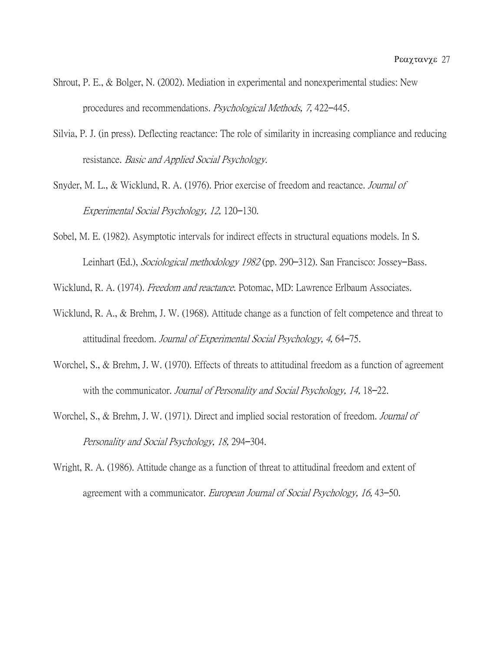- Shrout, P. E., & Bolger, N. (2002). Mediation in experimental and nonexperimental studies: New procedures and recommendations. Psychological Methods, 7, 422–445.
- Silvia, P. J. (in press). Deflecting reactance: The role of similarity in increasing compliance and reducing resistance. Basic and Applied Social Psychology.
- Snyder, M. L., & Wicklund, R. A. (1976). Prior exercise of freedom and reactance. *Journal of* Experimental Social Psychology, 12, 120–130.
- Sobel, M. E. (1982). Asymptotic intervals for indirect effects in structural equations models. In S. Leinhart (Ed.), Sociological methodology 1982 (pp. 290–312). San Francisco: Jossey–Bass.

Wicklund, R. A. (1974). *Freedom and reactance.* Potomac, MD: Lawrence Erlbaum Associates.

- Wicklund, R. A., & Brehm, J. W. (1968). Attitude change as a function of felt competence and threat to attitudinal freedom. Journal of Experimental Social Psychology, 4, 64–75.
- Worchel, S., & Brehm, J. W. (1970). Effects of threats to attitudinal freedom as a function of agreement with the communicator. Journal of Personality and Social Psychology, 14, 18–22.
- Worchel, S., & Brehm, J. W. (1971). Direct and implied social restoration of freedom. *Journal of* Personality and Social Psychology, 18, 294–304.
- Wright, R. A. (1986). Attitude change as a function of threat to attitudinal freedom and extent of agreement with a communicator. European Journal of Social Psychology, 16, 43–50.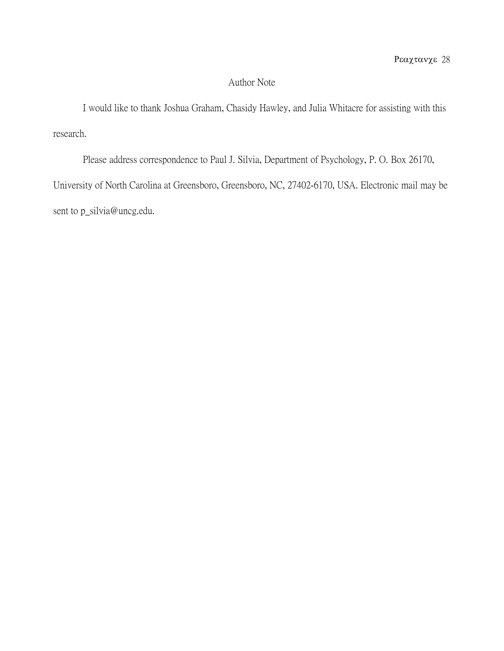## Author Note

I would like to thank Joshua Graham, Chasidy Hawley, and Julia Whitacre for assisting with this research.

Please address correspondence to Paul J. Silvia, Department of Psychology, P. O. Box 26170, University of North Carolina at Greensboro, Greensboro, NC, 27402-6170, USA. Electronic mail may be sent to p\_silvia@uncg.edu.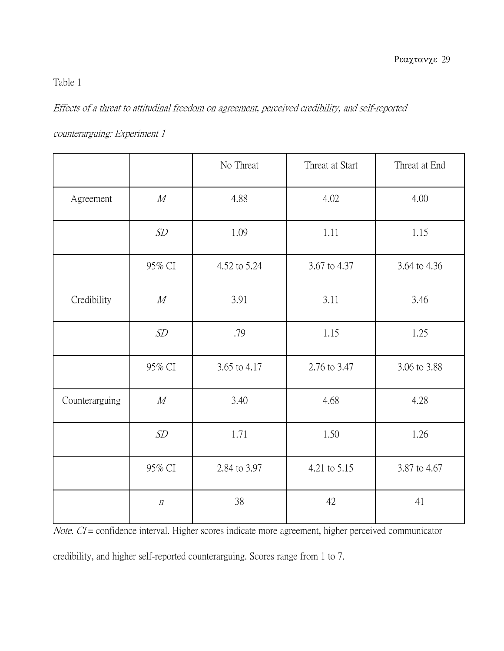# Table 1

Effects of a threat to attitudinal freedom on agreement, perceived credibility, and self-reported

|                |        | No Threat    | Threat at Start | Threat at End |
|----------------|--------|--------------|-----------------|---------------|
| Agreement      | M      | 4.88         | 4.02            | 4.00          |
|                | SD     | 1.09         | 1.11            | 1.15          |
|                | 95% CI | 4.52 to 5.24 | 3.67 to 4.37    | 3.64 to 4.36  |
| Credibility    | M      | 3.91         | 3.11            | 3.46          |
|                | SD     | .79          | 1.15            | 1.25          |
|                | 95% CI | 3.65 to 4.17 | 2.76 to 3.47    | 3.06 to 3.88  |
| Counterarguing | M      | 3.40         | 4.68            | 4.28          |
|                | SD     | 1.71         | 1.50            | 1.26          |
|                | 95% CI | 2.84 to 3.97 | 4.21 to 5.15    | 3.87 to 4.67  |

counterarguing: Experiment 1

Note. CI = confidence interval. Higher scores indicate more agreement, higher perceived communicator

n 38 42 41

credibility, and higher self-reported counterarguing. Scores range from 1 to 7.